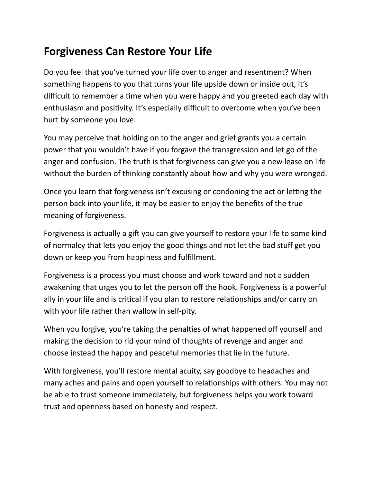## **Forgiveness Can Restore Your Life**

Do you feel that you've turned your life over to anger and resentment? When something happens to you that turns your life upside down or inside out, it's difficult to remember a time when you were happy and you greeted each day with enthusiasm and positivity. It's especially difficult to overcome when you've been hurt by someone you love.

You may perceive that holding on to the anger and grief grants you a certain power that you wouldn't have if you forgave the transgression and let go of the anger and confusion. The truth is that forgiveness can give you a new lease on life without the burden of thinking constantly about how and why you were wronged.

Once you learn that forgiveness isn't excusing or condoning the act or letting the person back into your life, it may be easier to enjoy the benefits of the true meaning of forgiveness.

Forgiveness is actually a gift you can give yourself to restore your life to some kind of normalcy that lets you enjoy the good things and not let the bad stuff get you down or keep you from happiness and fulfillment.

Forgiveness is a process you must choose and work toward and not a sudden awakening that urges you to let the person off the hook. Forgiveness is a powerful ally in your life and is critical if you plan to restore relationships and/or carry on with your life rather than wallow in self-pity.

When you forgive, you're taking the penalties of what happened off yourself and making the decision to rid your mind of thoughts of revenge and anger and choose instead the happy and peaceful memories that lie in the future.

With forgiveness, you'll restore mental acuity, say goodbye to headaches and many aches and pains and open yourself to relationships with others. You may not be able to trust someone immediately, but forgiveness helps you work toward trust and openness based on honesty and respect.